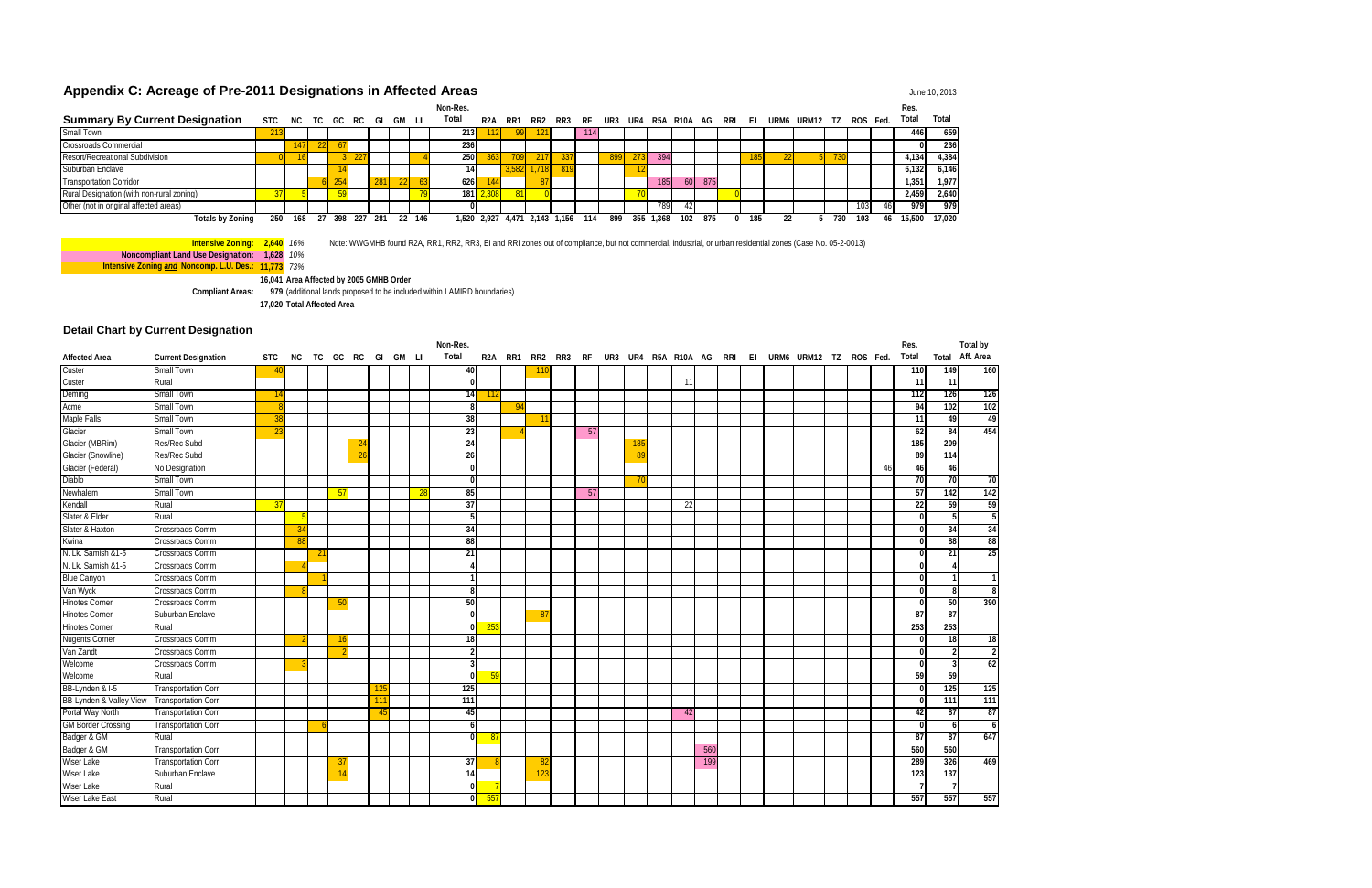**Intensive Zoning: 2,640** *16%* Note: WWGMHB found R2A, RR1, RR2, RR3, EI and RRI zones out of compliance, but not commercial, industrial, or urban residential zones (Case No. 05-2-0013)

**Noncompliant Land Use Designation: 1,628** *10%* **Intensive Zoning** *and* **Noncomp. L.U. Des.: 11,773** *73%*

**16,041 Area Affected by 2005 GMHB Order Compliant Areas: 979** (additional lands proposed to be included within LAMIRD boundaries) **17,020 Total Affected Area**

### **Detail Chart by Current Designation**

## Appendix C: Acreage of Pre-2011 Designations in Affected Areas **Appendix C: Acreage of Pre-2011 Designations in Affected Areas**

|                                           |     |                 |    |     |     |       |        | Non-Res.    |                  |                   |       |             |     |      |     |       |                            |     |     |     |               |     |     |          | Res    |        |
|-------------------------------------------|-----|-----------------|----|-----|-----|-------|--------|-------------|------------------|-------------------|-------|-------------|-----|------|-----|-------|----------------------------|-----|-----|-----|---------------|-----|-----|----------|--------|--------|
| <b>Summary By Current Designation</b>     |     | STC NC TC GC RC |    |     |     | - GI  | GM LII | Total       | R <sub>2</sub> A | RR1               | RR2   | RR3 RF      |     |      |     |       | UR3 UR4 R5A R10A AG RRI EI |     |     |     | URM6 URM12 TZ |     |     | ROS Fed. | Total  | Total  |
| Small Town                                |     |                 |    |     |     |       |        | 213 I       |                  |                   |       |             | 114 |      |     |       |                            |     |     |     |               |     |     |          | 446    | 659    |
| <b>Crossroads Commercial</b>              |     |                 |    |     |     |       |        | <b>2361</b> |                  |                   |       |             |     |      |     |       |                            |     |     |     |               |     |     |          |        | 236    |
| <b>Resort/Recreational Subdivision</b>    |     |                 |    |     | LL  |       |        | 250         |                  |                   |       |             |     | 8991 | 273 | 394   |                            |     | 185 | 221 |               |     |     |          | .134   | 4,384  |
| Suburban Enclave                          |     |                 |    |     |     |       |        | 141         |                  | 3.582             | 1.718 | 819         |     |      |     |       |                            |     |     |     |               |     |     |          | ,132   | 6,146  |
| <b>Transportation Corridor</b>            |     |                 |    |     |     | 281   |        | 626         |                  |                   |       |             |     |      |     | 185   | 60 <sup>1</sup>            | 875 |     |     |               |     |     |          | 1,351  | 1,977  |
| Rural Designation (with non-rural zoning) |     |                 |    |     |     |       |        | 181         |                  |                   |       |             |     |      |     |       |                            |     |     |     |               |     |     |          | 2,459  | 2,640  |
| Other (not in original affected areas)    |     |                 |    |     |     |       |        |             |                  |                   |       |             |     |      |     | 789   |                            |     |     |     |               |     | 103 | 461      | 979    | 979    |
| <b>Totals by Zoning</b>                   | 250 | 168             | 27 | 398 | 227 | - 281 | 146    |             |                  | 1.520 2.927 4.471 |       | 2,143 1,156 | 114 | 899  | 355 | 1.368 | 102                        | 875 | 185 |     |               | 730 | 103 | 46.      | 15.500 | 17.020 |

|                           |                            |            |      |   |     |                |                    |  | Non-Res.        |            |      |                |     |    |     |                     |    |     |     |    |                        |  |    | Res.            |                  | Total by        |
|---------------------------|----------------------------|------------|------|---|-----|----------------|--------------------|--|-----------------|------------|------|----------------|-----|----|-----|---------------------|----|-----|-----|----|------------------------|--|----|-----------------|------------------|-----------------|
| <b>Affected Area</b>      | <b>Current Designation</b> | <b>STC</b> | NC . |   |     |                | TC GC RC GI GM LII |  | Total           | R2A        | RR1  | RR2            | RR3 | RF |     | UR3 UR4 R5A R10A AG |    |     | RRI | EL | URM6 URM12 TZ ROS Fed. |  |    | Total           | Total            | Aff. Area       |
| Custer                    | Small Town                 | 40         |      |   |     |                |                    |  | 40              |            |      | 110            |     |    |     |                     |    |     |     |    |                        |  |    | 110             | 149              | 160             |
| Custer                    | Rural                      |            |      |   |     |                |                    |  |                 |            |      |                |     |    |     |                     | 11 |     |     |    |                        |  |    | 11              | 11               |                 |
| Deming                    | <b>Small Town</b>          | -14        |      |   |     |                |                    |  | 14              | $\vert$ 11 |      |                |     |    |     |                     |    |     |     |    |                        |  |    | 112             | 126              | 126             |
| Acme                      | <b>Small Town</b>          |            |      |   |     |                |                    |  | R               |            | - 94 |                |     |    |     |                     |    |     |     |    |                        |  |    | 94              | 102              | 102             |
| Maple Falls               | <b>Small Town</b>          | 38         |      |   |     |                |                    |  | 38              |            |      | -1             |     |    |     |                     |    |     |     |    |                        |  |    | 11              | 49               | 49              |
| Glacier                   | <b>Small Town</b>          | 23         |      |   |     |                |                    |  | $\overline{23}$ |            |      |                |     | 57 |     |                     |    |     |     |    |                        |  |    | 62              | 84               | 454             |
| Glacier (MBRim)           | Res/Rec Subd               |            |      |   |     | $2^{i}$        |                    |  | 24              |            |      |                |     |    | 185 |                     |    |     |     |    |                        |  |    | 185             | 209              |                 |
| Glacier (Snowline)        | Res/Rec Subd               |            |      |   |     | 2 <sub>0</sub> |                    |  | 26              |            |      |                |     |    | -89 |                     |    |     |     |    |                        |  |    | 89              | 114              |                 |
| Glacier (Federal)         | No Designation             |            |      |   |     |                |                    |  |                 |            |      |                |     |    |     |                     |    |     |     |    |                        |  | 46 | 46              | 46               |                 |
| <b>Diablo</b>             | <b>Small Town</b>          |            |      |   |     |                |                    |  |                 |            |      |                |     |    | 70  |                     |    |     |     |    |                        |  |    | 70              | 70               | 70              |
| Newhalem                  | <b>Small Town</b>          |            |      |   | -57 |                |                    |  | 85              |            |      |                |     | 57 |     |                     |    |     |     |    |                        |  |    | 57              | 142              | 142             |
| Kendall                   | Rural                      | 37         |      |   |     |                |                    |  | 37              |            |      |                |     |    |     |                     | 22 |     |     |    |                        |  |    | 22              | 59               | 59              |
| Slater & Elder            | Rural                      |            |      |   |     |                |                    |  |                 |            |      |                |     |    |     |                     |    |     |     |    |                        |  |    |                 |                  | 5               |
| Slater & Haxton           | Crossroads Comm            |            | 34   |   |     |                |                    |  | 34              |            |      |                |     |    |     |                     |    |     |     |    |                        |  |    |                 | 34               | 34              |
| Kwina                     | Crossroads Comm            |            | -88  |   |     |                |                    |  | 88              |            |      |                |     |    |     |                     |    |     |     |    |                        |  |    |                 | 88               | 88              |
| N. Lk. Samish &1-5        | Crossroads Comm            |            |      | 2 |     |                |                    |  | 21              |            |      |                |     |    |     |                     |    |     |     |    |                        |  |    |                 | 21               | $\overline{25}$ |
| N. Lk. Samish &1-5        | Crossroads Comm            |            |      |   |     |                |                    |  |                 |            |      |                |     |    |     |                     |    |     |     |    |                        |  |    |                 |                  |                 |
| <b>Blue Canyon</b>        | Crossroads Comm            |            |      |   |     |                |                    |  |                 |            |      |                |     |    |     |                     |    |     |     |    |                        |  |    |                 |                  |                 |
| Van Wyck                  | Crossroads Comm            |            |      |   |     |                |                    |  |                 |            |      |                |     |    |     |                     |    |     |     |    |                        |  |    |                 |                  | $\overline{8}$  |
| <b>Hinotes Corner</b>     | Crossroads Comm            |            |      |   |     |                |                    |  | 50              |            |      |                |     |    |     |                     |    |     |     |    |                        |  |    |                 | 50               | 390             |
| <b>Hinotes Corner</b>     | Suburban Enclave           |            |      |   |     |                |                    |  |                 |            |      | 8 <sub>1</sub> |     |    |     |                     |    |     |     |    |                        |  |    | 87              | 87               |                 |
| <b>Hinotes Corner</b>     | Rural                      |            |      |   |     |                |                    |  |                 | 253<br>U   |      |                |     |    |     |                     |    |     |     |    |                        |  |    | 253             | 253              |                 |
| <b>Nugents Corner</b>     | <b>Crossroads Comm</b>     |            |      |   | -16 |                |                    |  | 18              |            |      |                |     |    |     |                     |    |     |     |    |                        |  |    |                 | 18               | 18              |
| Van Zandt                 | Crossroads Comm            |            |      |   |     |                |                    |  |                 |            |      |                |     |    |     |                     |    |     |     |    |                        |  |    |                 |                  | $\overline{2}$  |
| Welcome                   | Crossroads Comm            |            |      |   |     |                |                    |  |                 |            |      |                |     |    |     |                     |    |     |     |    |                        |  |    |                 |                  | 62              |
| Welcome                   | Rural                      |            |      |   |     |                |                    |  |                 | $-59$      |      |                |     |    |     |                     |    |     |     |    |                        |  |    | 59              | 59               |                 |
| BB-Lynden & I-5           | <b>Transportation Corr</b> |            |      |   |     |                | -12                |  | 125             |            |      |                |     |    |     |                     |    |     |     |    |                        |  |    |                 | 125              | 125             |
| BB-Lynden & Valley View   | <b>Transportation Corr</b> |            |      |   |     |                | -11                |  | 111             |            |      |                |     |    |     |                     |    |     |     |    |                        |  |    |                 | $\overline{111}$ | 111             |
| Portal Way North          | <b>Transportation Corr</b> |            |      |   |     |                |                    |  | 45              |            |      |                |     |    |     |                     | 42 |     |     |    |                        |  |    | 42              | 87               | 87              |
| <b>GM Border Crossing</b> | <b>Transportation Corr</b> |            |      |   |     |                |                    |  | 6               |            |      |                |     |    |     |                     |    |     |     |    |                        |  |    |                 | 6                | 6               |
| Badger & GM               | Rural                      |            |      |   |     |                |                    |  |                 | ΛI<br>-87  |      |                |     |    |     |                     |    |     |     |    |                        |  |    | $\overline{87}$ | 87               | 647             |
| Badger & GM               | <b>Transportation Corr</b> |            |      |   |     |                |                    |  |                 |            |      |                |     |    |     |                     |    | 560 |     |    |                        |  |    | 560             | 560              |                 |
| <b>Wiser Lake</b>         | <b>Transportation Corr</b> |            |      |   | -31 |                |                    |  | 37              |            |      | -82            |     |    |     |                     |    | 199 |     |    |                        |  |    | 289             | 326              | 469             |
| <b>Wiser Lake</b>         | Suburban Enclave           |            |      |   |     |                |                    |  | 14              |            |      | 123            |     |    |     |                     |    |     |     |    |                        |  |    | 123             | 137              |                 |
| Wiser Lake                | Rural                      |            |      |   |     |                |                    |  |                 |            |      |                |     |    |     |                     |    |     |     |    |                        |  |    |                 |                  |                 |
| Wiser Lake East           | Rural                      |            |      |   |     |                |                    |  |                 | 557        |      |                |     |    |     |                     |    |     |     |    |                        |  |    | 557             | 557              | 557             |
|                           |                            |            |      |   |     |                |                    |  |                 |            |      |                |     |    |     |                     |    |     |     |    |                        |  |    |                 |                  |                 |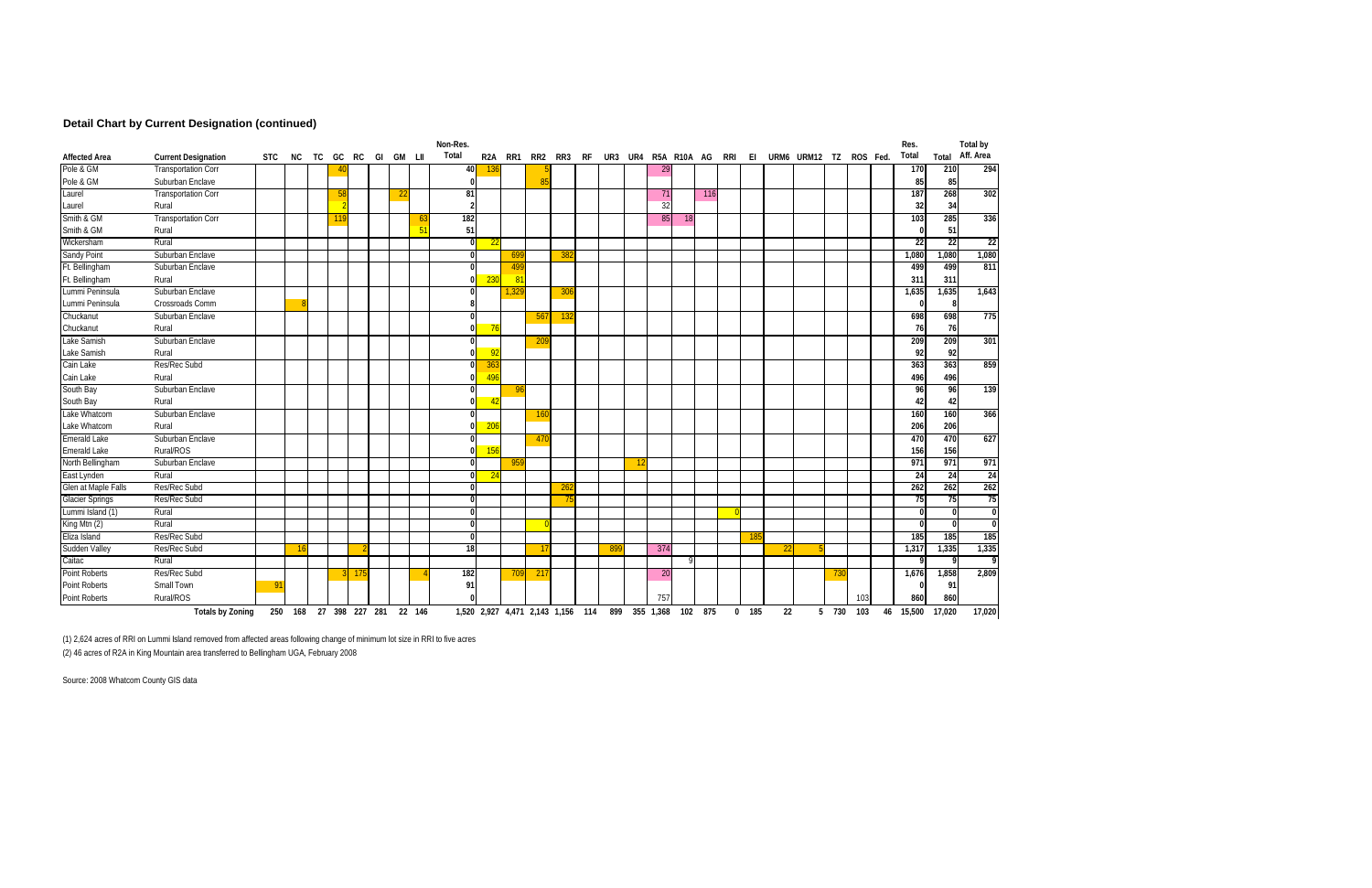### **Detail Chart by Current Designation (continued)**

|                        |                            |            |                        |    |    |     |    |   |            | Non-Res.         |                  |       |      |                 |    |                                                 |         |             |           |         |     |         |    |               |       |          |    | Res.   |                 | Total by        |
|------------------------|----------------------------|------------|------------------------|----|----|-----|----|---|------------|------------------|------------------|-------|------|-----------------|----|-------------------------------------------------|---------|-------------|-----------|---------|-----|---------|----|---------------|-------|----------|----|--------|-----------------|-----------------|
| <b>Affected Area</b>   | <b>Current Designation</b> | <b>STC</b> | NC.                    | TC | GC | RC  | GI |   | GM LII     | Total            | R <sub>2</sub> A | RR1   | RR2  | RR3             | RF |                                                 | UR3 UR4 | R5A R10A AG |           |         | rri | EI      |    | URM6 URM12 TZ |       | ROS Fed. |    | Total  |                 | Total Aff. Area |
| Pole & GM              | <b>Transportation Corr</b> |            |                        |    |    |     |    |   |            | 40               | 136              |       |      |                 |    |                                                 |         | 29          |           |         |     |         |    |               |       |          |    | 170    | 210             | 294             |
| Pole & GM              | Suburban Enclave           |            |                        |    |    |     |    |   |            | $\Omega$         |                  |       |      |                 |    |                                                 |         |             |           |         |     |         |    |               |       |          |    | 85     | 85              |                 |
| Laurel                 | <b>Transportation Corr</b> |            |                        |    | 58 |     |    | 2 |            | 81               |                  |       |      |                 |    |                                                 |         | 71          |           | 116     |     |         |    |               |       |          |    | 187    | 268             | 302             |
| Laurel                 | Rural                      |            |                        |    |    |     |    |   |            | $\overline{2}$   |                  |       |      |                 |    |                                                 |         | 32          |           |         |     |         |    |               |       |          |    | 32     | 34              |                 |
| Smith & GM             | <b>Transportation Corr</b> |            |                        |    |    |     |    |   | -6         | 182              |                  |       |      |                 |    |                                                 |         | 85          | <b>18</b> |         |     |         |    |               |       |          |    | 103    | 285             | 336             |
| Smith & GM             | Rural                      |            |                        |    |    |     |    |   | $\sqrt{5}$ | 51               |                  |       |      |                 |    |                                                 |         |             |           |         |     |         |    |               |       |          |    |        | 51              |                 |
| Wickersham             | Rural                      |            |                        |    |    |     |    |   |            | $\mathbf 0$      | 22               |       |      |                 |    |                                                 |         |             |           |         |     |         |    |               |       |          |    | 22     | $\overline{22}$ | $\overline{22}$ |
| <b>Sandy Point</b>     | Suburban Enclave           |            |                        |    |    |     |    |   |            | $\overline{0}$   |                  | 699   |      | 382             |    |                                                 |         |             |           |         |     |         |    |               |       |          |    | 1,080  | 1,080           | 1,080           |
| Ft. Bellingham         | Suburban Enclave           |            |                        |    |    |     |    |   |            | $\boldsymbol{0}$ |                  | 499   |      |                 |    |                                                 |         |             |           |         |     |         |    |               |       |          |    | 499    | 499             | 811             |
| Ft. Bellingham         | Rural                      |            |                        |    |    |     |    |   |            | $\mathbf{0}$     | 230              | 81    |      |                 |    |                                                 |         |             |           |         |     |         |    |               |       |          |    | 311    | 311             |                 |
| Lummi Peninsula        | Suburban Enclave           |            |                        |    |    |     |    |   |            | $\Omega$         |                  | 1.329 |      | 306             |    |                                                 |         |             |           |         |     |         |    |               |       |          |    | 1,635  | 1,635           | 1,643           |
| Lummi Peninsula        | Crossroads Comm            |            |                        |    |    |     |    |   |            | 8                |                  |       |      |                 |    |                                                 |         |             |           |         |     |         |    |               |       |          |    |        | -8              |                 |
| Chuckanut              | Suburban Enclave           |            |                        |    |    |     |    |   |            | $\boldsymbol{0}$ |                  |       | 567  | 13 <sub>2</sub> |    |                                                 |         |             |           |         |     |         |    |               |       |          |    | 698    | 698             | 775             |
| Chuckanut              | Rural                      |            |                        |    |    |     |    |   |            | $\Omega$         |                  |       |      |                 |    |                                                 |         |             |           |         |     |         |    |               |       |          |    | 76     | 76              |                 |
| Lake Samish            | Suburban Enclave           |            |                        |    |    |     |    |   |            | $\overline{0}$   |                  |       | 20   |                 |    |                                                 |         |             |           |         |     |         |    |               |       |          |    | 209    | 209             | 301             |
| Lake Samish            | Rural                      |            |                        |    |    |     |    |   |            | $\mathbf{0}$     | -92              |       |      |                 |    |                                                 |         |             |           |         |     |         |    |               |       |          |    | 92     | 92              |                 |
| Cain Lake              | Res/Rec Subd               |            |                        |    |    |     |    |   |            | $\Omega$         | 363              |       |      |                 |    |                                                 |         |             |           |         |     |         |    |               |       |          |    | 363    | 363             | 859             |
| Cain Lake              | Rural                      |            |                        |    |    |     |    |   |            | $\mathbf{0}$     | 496              |       |      |                 |    |                                                 |         |             |           |         |     |         |    |               |       |          |    | 496    | 496             |                 |
| South Bay              | Suburban Enclave           |            |                        |    |    |     |    |   |            | 01               |                  | -96   |      |                 |    |                                                 |         |             |           |         |     |         |    |               |       |          |    | 96     | 96              | 139             |
| South Bay              | Rural                      |            |                        |    |    |     |    |   |            | $\overline{0}$   | $\overline{4}$   |       |      |                 |    |                                                 |         |             |           |         |     |         |    |               |       |          |    | 42     | 42              |                 |
| Lake Whatcom           | Suburban Enclave           |            |                        |    |    |     |    |   |            | $\mathbf{0}$     |                  |       | -160 |                 |    |                                                 |         |             |           |         |     |         |    |               |       |          |    | 160    | 160             | 366             |
| Lake Whatcom           | Rural                      |            |                        |    |    |     |    |   |            | $\mathbf{0}$     | 206              |       |      |                 |    |                                                 |         |             |           |         |     |         |    |               |       |          |    | 206    | 206             |                 |
| <b>Emerald Lake</b>    | Suburban Enclave           |            |                        |    |    |     |    |   |            | $\boldsymbol{0}$ |                  |       | 47   |                 |    |                                                 |         |             |           |         |     |         |    |               |       |          |    | 470    | 470             | 627             |
| <b>Emerald Lake</b>    | Rural/ROS                  |            |                        |    |    |     |    |   |            | $\overline{0}$   | 156              |       |      |                 |    |                                                 |         |             |           |         |     |         |    |               |       |          |    | 156    | 156             |                 |
| North Bellingham       | Suburban Enclave           |            |                        |    |    |     |    |   |            | $\mathbf{0}$     |                  | 95    |      |                 |    |                                                 |         |             |           |         |     |         |    |               |       |          |    | 971    | 971             | 971             |
| East Lynden            | Rural                      |            |                        |    |    |     |    |   |            | $\mathbf{0}$     | 24               |       |      |                 |    |                                                 |         |             |           |         |     |         |    |               |       |          |    | 24     | 24              | 24              |
| Glen at Maple Falls    | Res/Rec Subd               |            |                        |    |    |     |    |   |            | $\boldsymbol{0}$ |                  |       |      | <u> 26:</u>     |    |                                                 |         |             |           |         |     |         |    |               |       |          |    | 262    | 262             | 262             |
| <b>Glacier Springs</b> | Res/Rec Subd               |            |                        |    |    |     |    |   |            | $\Omega$         |                  |       |      |                 |    |                                                 |         |             |           |         |     |         |    |               |       |          |    | 75     | 75              | 75              |
| Lummi Island (1)       | Rural                      |            |                        |    |    |     |    |   |            | $\mathbf{0}$     |                  |       |      |                 |    |                                                 |         |             |           |         |     |         |    |               |       |          |    | n      | $\Omega$        |                 |
| King Mtn $(2)$         | Rural                      |            |                        |    |    |     |    |   |            | $\mathbf{0}$     |                  |       |      |                 |    |                                                 |         |             |           |         |     |         |    |               |       |          |    |        | $\Omega$        |                 |
| Eliza Island           | Res/Rec Subd               |            |                        |    |    |     |    |   |            | $\mathbf{0}$     |                  |       |      |                 |    |                                                 |         |             |           |         |     | 185     |    |               |       |          |    | 185    | 185             | 185             |
| Sudden Valley          | Res/Rec Subd               |            | 16                     |    |    |     |    |   |            | 18               |                  |       |      |                 |    | 899                                             |         | 374         |           |         |     |         | 22 |               |       |          |    | 1,317  | 1,335           | 1,335           |
| Caitac                 | Rural                      |            |                        |    |    |     |    |   |            |                  |                  |       |      |                 |    |                                                 |         |             |           |         |     |         |    |               |       |          |    |        | Q               |                 |
| <b>Point Roberts</b>   | Res/Rec Subd               |            |                        |    |    | -17 |    |   |            | 182              |                  | 709   | 217  |                 |    |                                                 |         | <b>20</b>   |           |         |     |         |    |               | 730   |          |    | 1,676  | 1,858           | 2,809           |
| Point Roberts          | Small Town                 | o,         |                        |    |    |     |    |   |            | 91               |                  |       |      |                 |    |                                                 |         |             |           |         |     |         |    |               |       |          |    |        | 91              |                 |
| Point Roberts          | Rural/ROS                  |            |                        |    |    |     |    |   |            |                  |                  |       |      |                 |    |                                                 |         | 757         |           |         |     |         |    |               |       | 103      |    | 860    | 860             |                 |
|                        | <b>Totals by Zoning</b>    |            | 250 168 27 398 227 281 |    |    |     |    |   | 22 146     |                  |                  |       |      |                 |    | 1,520 2,927 4,471 2,143 1,156 114 899 355 1,368 |         |             |           | 102 875 |     | $0$ 185 | 22 |               | 5 730 | 103      | 46 | 15,500 | 17,020          | 17,020          |

(1) 2,624 acres of RRI on Lummi Island removed from affected areas following change of minimum lot size in RRI to five acres

(2) 46 acres of R2A in King Mountain area transferred to Bellingham UGA, February 2008

Source: 2008 Whatcom County GIS data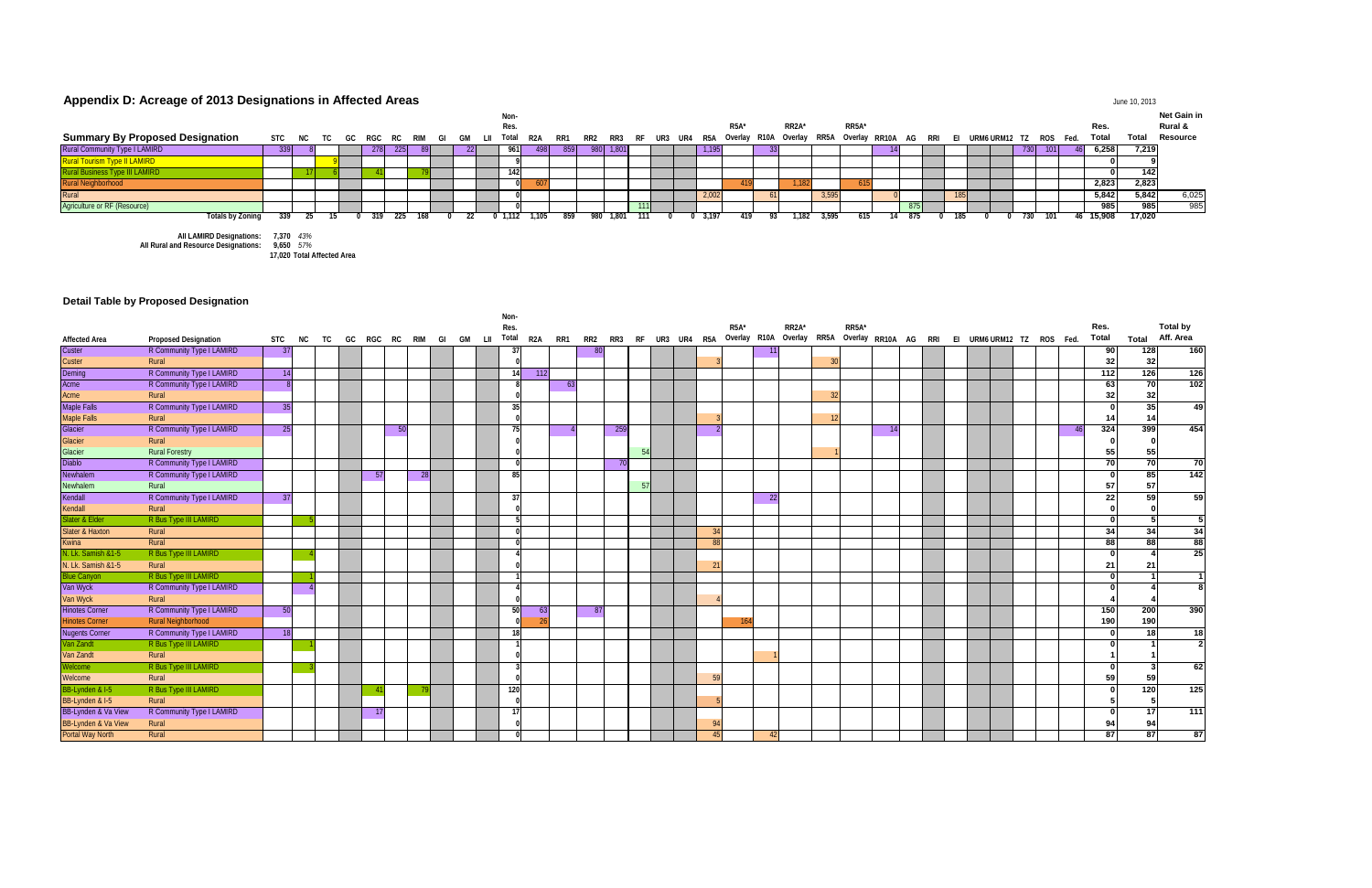## Appendix D: Acreage of 2013 Designations in Affected Areas **June 10, 2013** June 10, 2013

|                                        |      |  |       |            |      |     | Non  |       |       |     |            |         |  |       |                   |                                                                                                                                                                                   |       |       |        |     |  |       |     |        |        | Net Gain in |
|----------------------------------------|------|--|-------|------------|------|-----|------|-------|-------|-----|------------|---------|--|-------|-------------------|-----------------------------------------------------------------------------------------------------------------------------------------------------------------------------------|-------|-------|--------|-----|--|-------|-----|--------|--------|-------------|
|                                        |      |  |       |            |      |     | Res. |       |       |     |            |         |  |       | R <sub>5</sub> A* | RR <sub>2</sub> A <sup>*</sup>                                                                                                                                                    |       | RR5A* |        |     |  |       |     | Res.   |        | Rural &     |
| <b>Summary By Proposed Designation</b> |      |  |       |            |      |     |      |       |       |     |            |         |  |       |                   | STC NC TC GC RGC RC RIM GI GM LII <sup>Total</sup> R2A RR1 RR2 RR3 RF UR3 UR4 R5A <sup>Overlay R10A Overlay RR5A Overlay RR10A AG RRI EI URM6URM12 TZ ROS Fed. <b>Total</b></sup> |       |       |        |     |  |       |     |        | Total  | Resource    |
| Rural Community Type I LAMIRD          | -339 |  | 278   | <b>225</b> | -891 |     |      | -4981 | -8591 |     | 980  1,801 |         |  | 1,195 |                   |                                                                                                                                                                                   |       |       |        |     |  | 7301  | 101 | 6,258  | 7,219  |             |
| <b>Rural Tourism Type II LAMIRD</b>    |      |  |       |            |      |     |      |       |       |     |            |         |  |       |                   |                                                                                                                                                                                   |       |       |        |     |  |       |     |        |        |             |
|                                        |      |  |       |            |      |     |      |       |       |     |            |         |  |       |                   |                                                                                                                                                                                   |       |       |        |     |  |       |     |        | 142    |             |
| Rural Neighborhood                     |      |  |       |            |      |     |      |       |       |     |            |         |  |       |                   |                                                                                                                                                                                   |       |       |        |     |  |       |     | 2,823  | 2,823  |             |
| Rural                                  |      |  |       |            |      |     |      |       |       |     |            |         |  | 2,00  |                   |                                                                                                                                                                                   | 3.595 |       |        |     |  |       |     | 5,842  | 5,842  | 6,025       |
| Agriculture or RF (Resource)           |      |  |       |            |      |     |      |       |       |     |            |         |  |       |                   |                                                                                                                                                                                   |       |       |        |     |  |       |     | 985    | 985 l  | 985         |
| Totals by Zoning                       | -339 |  | -319- | - 225      | 168  | -22 |      | 1.105 | 859   | 980 | 1.801      | - 111 - |  | 3.197 | 419               | 1.182                                                                                                                                                                             | 3.595 | 615   | 14 8/5 | 185 |  | - 730 | 101 | 15.908 | 17,020 |             |
| All LAMIRD Designations: 7,370 43%     |      |  |       |            |      |     |      |       |       |     |            |         |  |       |                   |                                                                                                                                                                                   |       |       |        |     |  |       |     |        |        |             |

**All Rural and Resource Designations: 9,650** *57%*

**17,020 Total Affected Area**

### **Detail Table by Proposed Designation**

| <b>Affected Area</b>  | <b>Proposed Designation</b> | <b>STC</b> | NC | TC | GC | RGC |    | RC RIM GI GM LII |  | Non-<br>Res.<br>Total | R2A |     | RR1 |      |              |     |  |    | R <sub>5</sub> A* |     | RR2A*<br>RR2 RR3 RF UR3 UR4 R5A Overlay R10A Overlay RR5A Overlay RR10A AG RRI EI URM6URM12 TZ ROS Fed. |    | RR5A* |           |  |  |  |    | Res.<br>Total | Total           | <b>Total by</b><br>Aff. Area |
|-----------------------|-----------------------------|------------|----|----|----|-----|----|------------------|--|-----------------------|-----|-----|-----|------|--------------|-----|--|----|-------------------|-----|---------------------------------------------------------------------------------------------------------|----|-------|-----------|--|--|--|----|---------------|-----------------|------------------------------|
| Custer                | R Community Type I LAMIRD   | - 37       |    |    |    |     |    |                  |  | $3^{\circ}$           |     |     |     |      |              |     |  |    |                   |     |                                                                                                         |    |       |           |  |  |  |    | 90            | 128             | 160                          |
| Custer                | Rural                       |            |    |    |    |     |    |                  |  |                       |     |     |     |      |              |     |  |    |                   |     |                                                                                                         |    |       |           |  |  |  |    | 32            | 32              |                              |
| Deming                | R Community Type I LAMIRD   |            | 14 |    |    |     |    |                  |  | 14                    | 112 |     |     |      |              |     |  |    |                   |     |                                                                                                         |    |       |           |  |  |  |    | $112$         | 126             | 126                          |
| Acme                  | R Community Type I LAMIRD   |            |    |    |    |     |    |                  |  |                       |     |     | 63  |      |              |     |  |    |                   |     |                                                                                                         |    |       |           |  |  |  |    | 63            | 70              | 102                          |
| Acme                  | Rural                       |            |    |    |    |     |    |                  |  |                       |     |     |     |      |              |     |  |    |                   |     |                                                                                                         | 32 |       |           |  |  |  |    | 32            | 32              |                              |
| <b>Maple Falls</b>    | R Community Type I LAMIRD   |            | 35 |    |    |     |    |                  |  | 35                    |     |     |     |      |              |     |  |    |                   |     |                                                                                                         |    |       |           |  |  |  |    |               | 35 <sub>1</sub> | 49                           |
| Maple Falls           | Rural                       |            |    |    |    |     |    |                  |  |                       |     |     |     |      |              |     |  |    |                   |     |                                                                                                         |    |       |           |  |  |  |    | 14            | 14              |                              |
| Glacier               | R Community Type I LAMIRD   |            | 25 |    |    |     | 50 |                  |  | - 75                  |     |     |     |      | 259          |     |  |    |                   |     |                                                                                                         |    |       | <b>14</b> |  |  |  | 46 | 324           | 399             | 454                          |
| Glacier               | Rural                       |            |    |    |    |     |    |                  |  |                       |     |     |     |      |              |     |  |    |                   |     |                                                                                                         |    |       |           |  |  |  |    |               |                 |                              |
| Glacier               | <b>Rural Forestry</b>       |            |    |    |    |     |    |                  |  |                       |     |     |     |      |              | 54  |  |    |                   |     |                                                                                                         |    |       |           |  |  |  |    | 55            |                 |                              |
| <b>Diablo</b>         | R Community Type I LAMIRD   |            |    |    |    |     |    |                  |  |                       |     |     |     |      | $70^{\circ}$ |     |  |    |                   |     |                                                                                                         |    |       |           |  |  |  |    | 70            | 70              | 70                           |
| Newhalem              | R Community Type I LAMIRD   |            |    |    |    | -57 |    | -28              |  | 85                    |     |     |     |      |              |     |  |    |                   |     |                                                                                                         |    |       |           |  |  |  |    |               | 85              | 142                          |
| Newhalem              | Rural                       |            |    |    |    |     |    |                  |  |                       |     |     |     |      |              | -57 |  |    |                   |     |                                                                                                         |    |       |           |  |  |  |    | 57            | 57              |                              |
| Kendall               | R Community Type I LAMIRD   | 37         |    |    |    |     |    |                  |  | -37                   |     |     |     |      |              |     |  |    |                   | 22  |                                                                                                         |    |       |           |  |  |  |    | 22            | 59              | 59                           |
| Kendall               | Rural                       |            |    |    |    |     |    |                  |  |                       |     |     |     |      |              |     |  |    |                   |     |                                                                                                         |    |       |           |  |  |  |    |               |                 |                              |
| Slater & Elde         | R Bus Type III LAMIRD       |            |    |    |    |     |    |                  |  |                       |     |     |     |      |              |     |  |    |                   |     |                                                                                                         |    |       |           |  |  |  |    |               | 5               | -5                           |
| Slater & Haxton       | Rural                       |            |    |    |    |     |    |                  |  |                       |     |     |     |      |              |     |  | 34 |                   |     |                                                                                                         |    |       |           |  |  |  |    | 34            | 34              | 34                           |
| Kwina                 | Rural                       |            |    |    |    |     |    |                  |  |                       |     |     |     |      |              |     |  | 88 |                   |     |                                                                                                         |    |       |           |  |  |  |    | 88            | 88              | 88                           |
| N. Lk. Samish &1-5    | R Bus Type III LAMIRD       |            |    |    |    |     |    |                  |  |                       |     |     |     |      |              |     |  |    |                   |     |                                                                                                         |    |       |           |  |  |  |    |               |                 | 25                           |
| N. Lk. Samish &1-5    | Rural                       |            |    |    |    |     |    |                  |  |                       |     |     |     |      |              |     |  |    |                   |     |                                                                                                         |    |       |           |  |  |  |    | 21            | 21              |                              |
| <b>Blue Canyon</b>    | R Bus Type III LAMIRD       |            |    |    |    |     |    |                  |  |                       |     |     |     |      |              |     |  |    |                   |     |                                                                                                         |    |       |           |  |  |  |    | $\Omega$      |                 |                              |
| Van Wyck              | R Community Type I LAMIRD   |            |    |    |    |     |    |                  |  |                       |     |     |     |      |              |     |  |    |                   |     |                                                                                                         |    |       |           |  |  |  |    |               |                 |                              |
| Van Wyck              | Rural                       |            |    |    |    |     |    |                  |  |                       |     |     |     |      |              |     |  |    |                   |     |                                                                                                         |    |       |           |  |  |  |    |               |                 |                              |
| <b>Hinotes Corner</b> | R Community Type I LAMIRD   |            | 50 |    |    |     |    |                  |  | 50                    |     | -63 |     | - 87 |              |     |  |    |                   |     |                                                                                                         |    |       |           |  |  |  |    | 150           | 200             | 390                          |
| <b>Hinotes Corner</b> | <b>Rural Neighborhood</b>   |            |    |    |    |     |    |                  |  |                       |     |     |     |      |              |     |  |    |                   |     |                                                                                                         |    |       |           |  |  |  |    | 190           | 190             |                              |
| <b>Nugents Corner</b> | R Community Type I LAMIRD   |            | 18 |    |    |     |    |                  |  | 18                    |     |     |     |      |              |     |  |    |                   |     |                                                                                                         |    |       |           |  |  |  |    |               | 18              | 18                           |
| Van Zandt             | R Bus Type III LAMIRD       |            |    |    |    |     |    |                  |  |                       |     |     |     |      |              |     |  |    |                   |     |                                                                                                         |    |       |           |  |  |  |    |               |                 | $\overline{2}$               |
| Van Zandt             | Rural                       |            |    |    |    |     |    |                  |  |                       |     |     |     |      |              |     |  |    |                   |     |                                                                                                         |    |       |           |  |  |  |    |               |                 |                              |
| /elcome               | R Bus Type III LAMIRD       |            |    |    |    |     |    |                  |  |                       |     |     |     |      |              |     |  |    |                   |     |                                                                                                         |    |       |           |  |  |  |    |               |                 | 62                           |
| Welcome               | Rural                       |            |    |    |    |     |    |                  |  |                       |     |     |     |      |              |     |  | 50 |                   |     |                                                                                                         |    |       |           |  |  |  |    | 59            | 59              |                              |
| BB-Lynden & I-5       | R Bus Type III LAMIRD       |            |    |    |    |     |    |                  |  | 120                   |     |     |     |      |              |     |  |    |                   |     |                                                                                                         |    |       |           |  |  |  |    |               | 120             | 125                          |
| BB-Lynden & I-5       | Rural                       |            |    |    |    |     |    |                  |  |                       |     |     |     |      |              |     |  |    |                   |     |                                                                                                         |    |       |           |  |  |  |    |               |                 |                              |
| BB-Lynden & Va View   | R Community Type I LAMIRD   |            |    |    |    | -17 |    |                  |  | -17                   |     |     |     |      |              |     |  |    |                   |     |                                                                                                         |    |       |           |  |  |  |    |               | 17              | 111                          |
| BB-Lynden & Va View   | Rural                       |            |    |    |    |     |    |                  |  |                       |     |     |     |      |              |     |  |    |                   |     |                                                                                                         |    |       |           |  |  |  |    | 94            | 94              |                              |
| Portal Way North      | Rural                       |            |    |    |    |     |    |                  |  |                       |     |     |     |      |              |     |  | 45 |                   | -42 |                                                                                                         |    |       |           |  |  |  |    | 87            | 87              | $\overline{87}$              |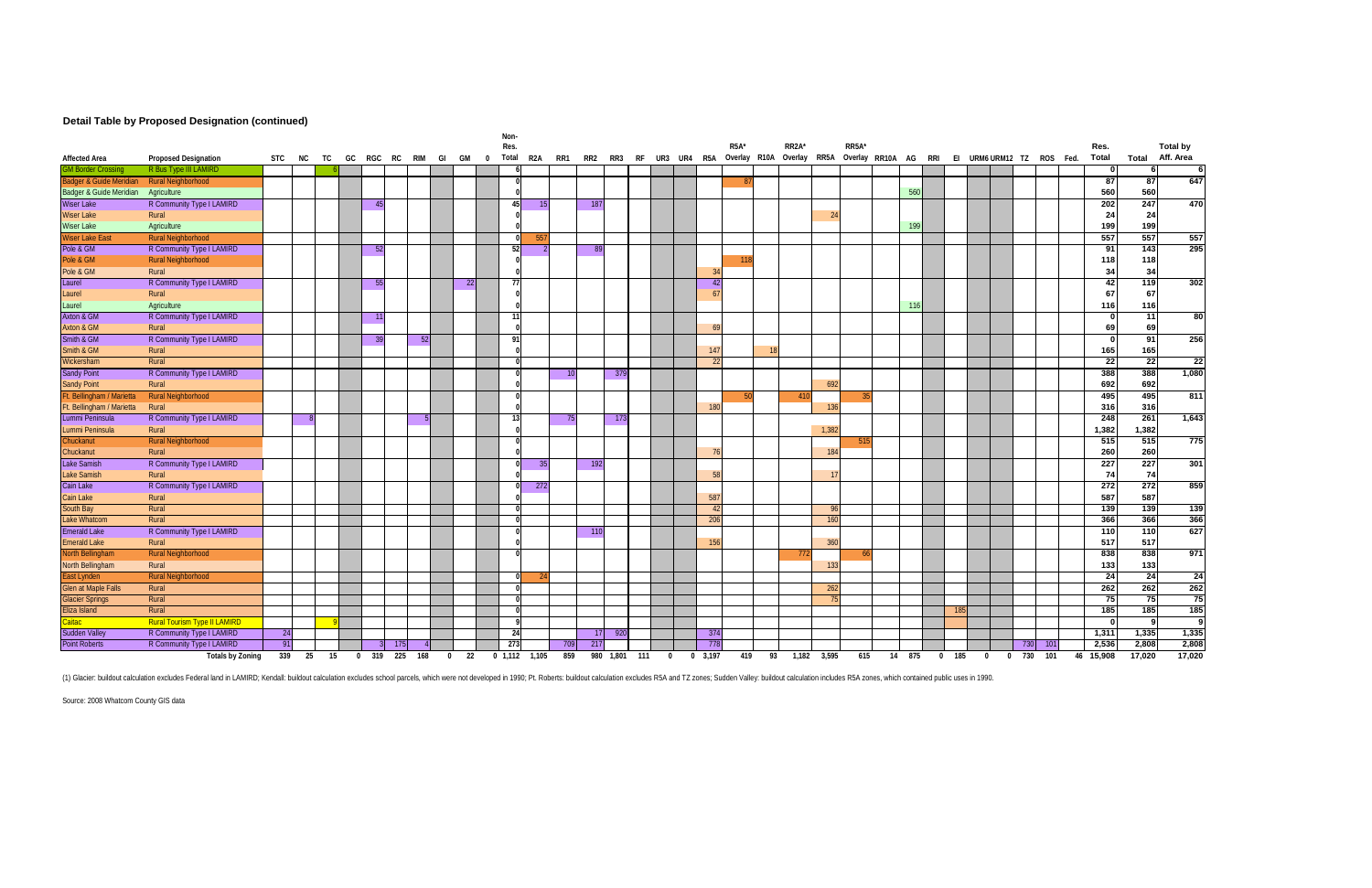### **Detail Table by Proposed Designation (continued)**

|                                 |                                     |     |        |    |                |     |               |          |     |              | Non-          |               |         |     |                 |                        |          |                 |                   |    |                                                                      |             |                    |        |          |     |          |                           |     |      |               |                 |                       |
|---------------------------------|-------------------------------------|-----|--------|----|----------------|-----|---------------|----------|-----|--------------|---------------|---------------|---------|-----|-----------------|------------------------|----------|-----------------|-------------------|----|----------------------------------------------------------------------|-------------|--------------------|--------|----------|-----|----------|---------------------------|-----|------|---------------|-----------------|-----------------------|
| <b>Affected Area</b>            | <b>Proposed Designation</b>         |     | STC NC | TC |                |     | GC RGC RC RIM | GI GM    |     | $\mathbf{0}$ | Res.<br>Total |               | R2A RR1 |     |                 | RR2 RR3 RF UR3 UR4 R5A |          |                 | R <sub>5</sub> A* |    | RR <sub>2</sub> A*<br>Overlay R10A Overlay RR5A Overlay RR10A AG RRI |             | RR <sub>5</sub> A* |        |          |     |          | EI URM6 URM12 TZ ROS Fed. |     |      | Res.<br>Total | Total           | Total by<br>Aff. Area |
| GM Border Crossina              | R Bus Type III LAMIRD               |     |        |    |                |     |               |          |     |              |               |               |         |     |                 |                        |          |                 |                   |    |                                                                      |             |                    |        |          |     |          |                           |     |      | $\mathbf{0}$  |                 | -61                   |
| Badger & Guide Meridian         | <b>Rural Neighborhood</b>           |     |        |    |                |     |               |          |     |              |               |               |         |     |                 |                        |          |                 |                   |    |                                                                      |             |                    |        |          |     |          |                           |     |      | 87            | 87              | 647                   |
| Badger & Guide Meridian         | Agriculture                         |     |        |    |                |     |               |          |     |              |               |               |         |     |                 |                        |          |                 |                   |    |                                                                      |             |                    | 560    |          |     |          |                           |     |      | 560           | 560             |                       |
| <b>Wiser Lake</b>               | R Community Type I LAMIRD           |     |        |    | 4 <sup>5</sup> |     |               |          |     |              | 45            |               |         |     | 187             |                        |          |                 |                   |    |                                                                      |             |                    |        |          |     |          |                           |     |      | 202           | 247             | 470                   |
| Wiser Lake                      | Rural                               |     |        |    |                |     |               |          |     |              |               |               |         |     |                 |                        |          |                 |                   |    |                                                                      | 24          |                    |        |          |     |          |                           |     |      | 24            | 24              |                       |
| <b>Wiser Lake</b>               | Agriculture                         |     |        |    |                |     |               |          |     |              |               |               |         |     |                 |                        |          |                 |                   |    |                                                                      |             |                    | 199    |          |     |          |                           |     |      | 199           | 199             |                       |
| Wiser Lake East                 | <b>Rural Neighborhood</b>           |     |        |    |                |     |               |          |     |              |               | -557          |         |     |                 |                        |          |                 |                   |    |                                                                      |             |                    |        |          |     |          |                           |     |      | 557           | 557             | 557                   |
| Pole & GM                       | R Community Type I LAMIRD           |     |        |    | -52            |     |               |          |     |              | 52            |               |         |     | - 89            |                        |          |                 |                   |    |                                                                      |             |                    |        |          |     |          |                           |     |      | 91            | 143             | 295                   |
| Pole & GM                       | <b>Rural Neighborhood</b>           |     |        |    |                |     |               |          |     |              |               |               |         |     |                 |                        |          |                 |                   |    |                                                                      |             |                    |        |          |     |          |                           |     |      | 118           | 118             |                       |
| Pole & GM                       | Rural                               |     |        |    |                |     |               |          |     |              |               |               |         |     |                 |                        |          |                 |                   |    |                                                                      |             |                    |        |          |     |          |                           |     |      | 34            | 34              |                       |
| Laurel                          | R Community Type I LAMIRD           |     |        |    | -55            |     |               |          | -22 |              | 77 I          |               |         |     |                 |                        |          | -42             |                   |    |                                                                      |             |                    |        |          |     |          |                           |     |      | 42            | 119             | 302                   |
| Laurel                          | Rural                               |     |        |    |                |     |               |          |     |              |               |               |         |     |                 |                        |          |                 |                   |    |                                                                      |             |                    |        |          |     |          |                           |     |      | 67            | 67              |                       |
| Laurel                          | Agriculture                         |     |        |    |                |     |               |          |     |              |               |               |         |     |                 |                        |          |                 |                   |    |                                                                      |             |                    | 116    |          |     |          |                           |     |      | 116           | 116             |                       |
| Axton & GM                      | R Community Type I LAMIRD           |     |        |    |                |     |               |          |     |              | 11            |               |         |     |                 |                        |          |                 |                   |    |                                                                      |             |                    |        |          |     |          |                           |     |      | $\mathbf{0}$  | $\overline{11}$ | 80                    |
| Axton & GM                      | Rural                               |     |        |    |                |     |               |          |     |              |               |               |         |     |                 |                        |          |                 |                   |    |                                                                      |             |                    |        |          |     |          |                           |     |      | 69            | 69              |                       |
| Smith & GM                      | R Community Type I LAMIRD           |     |        |    |                |     | 52            |          |     |              | 91            |               |         |     |                 |                        |          |                 |                   |    |                                                                      |             |                    |        |          |     |          |                           |     |      | - 0           | 91              | 256                   |
| Smith & GM                      | Rural                               |     |        |    |                |     |               |          |     |              |               |               |         |     |                 |                        |          | 14              |                   |    |                                                                      |             |                    |        |          |     |          |                           |     |      | 165           | 165             |                       |
| Wickersham                      | Rural                               |     |        |    |                |     |               |          |     |              |               |               |         |     |                 |                        |          |                 |                   |    |                                                                      |             |                    |        |          |     |          |                           |     |      | 22            | $\overline{22}$ | $\overline{22}$       |
| <b>Sandy Point</b>              | R Community Type I LAMIRD           |     |        |    |                |     |               |          |     |              |               |               |         |     |                 | 379                    |          |                 |                   |    |                                                                      |             |                    |        |          |     |          |                           |     |      | 388           | 388             | 1,080                 |
| <b>Sandy Point</b>              | Rural                               |     |        |    |                |     |               |          |     |              |               |               |         |     |                 |                        |          |                 |                   |    |                                                                      | 692         |                    |        |          |     |          |                           |     |      | 692           | 692             |                       |
| Ft. Bellingham / Marietta       | <b>Rural Neighborhood</b>           |     |        |    |                |     |               |          |     |              |               |               |         |     |                 |                        |          | 18              |                   |    | -410                                                                 | 136         |                    |        |          |     |          |                           |     |      | 495           | 495             | 811                   |
| Ft. Bellingham / Marietta       | Rural                               |     |        |    |                |     |               |          |     |              |               |               |         |     |                 |                        |          |                 |                   |    |                                                                      |             |                    |        |          |     |          |                           |     |      | 316           | 316             | 1,643                 |
| Lummi Peninsula                 | R Community Type I LAMIRD           |     |        |    |                |     |               |          |     |              | 13            |               |         | 75  |                 | 173                    |          |                 |                   |    |                                                                      |             |                    |        |          |     |          |                           |     |      | 248<br>1,382  | 261<br>1,382    |                       |
| Lummi Peninsula                 | Rural                               |     |        |    |                |     |               |          |     |              |               |               |         |     |                 |                        |          |                 |                   |    |                                                                      | 1.382       |                    |        |          |     |          |                           |     |      | 515           | 515             |                       |
| Chuckanut                       | <b>Rural Neighborhood</b><br>Rural  |     |        |    |                |     |               |          |     |              |               |               |         |     |                 |                        |          |                 |                   |    |                                                                      | 184         | 515                |        |          |     |          |                           |     |      | 260           | 260             | 775                   |
| Chuckanut<br><b>Lake Samish</b> | R Community Type I LAMIRD           |     |        |    |                |     |               |          |     |              |               | 35            |         |     | 192             |                        |          |                 |                   |    |                                                                      |             |                    |        |          |     |          |                           |     |      | 227           | 227             | 301                   |
| Lake Samish                     | Rural                               |     |        |    |                |     |               |          |     |              |               |               |         |     |                 |                        |          | 51              |                   |    |                                                                      | $1^{\circ}$ |                    |        |          |     |          |                           |     |      | 74            | 74              |                       |
| Cain Lake                       | R Community Type I LAMIRD           |     |        |    |                |     |               |          |     |              |               | 272           |         |     |                 |                        |          |                 |                   |    |                                                                      |             |                    |        |          |     |          |                           |     |      | 272           | 272             | 859                   |
| <b>Cain Lake</b>                | Rural                               |     |        |    |                |     |               |          |     |              |               |               |         |     |                 |                        |          | 58              |                   |    |                                                                      |             |                    |        |          |     |          |                           |     |      | 587           | 587             |                       |
| South Bay                       | Rural                               |     |        |    |                |     |               |          |     |              |               |               |         |     |                 |                        |          | $\overline{A}$  |                   |    |                                                                      | 96          |                    |        |          |     |          |                           |     |      | 139           | 139             | 139                   |
| <b>Lake Whatcom</b>             | Rural                               |     |        |    |                |     |               |          |     |              |               |               |         |     |                 |                        |          | 206             |                   |    |                                                                      | 160         |                    |        |          |     |          |                           |     |      | 366           | 366             | 366                   |
| <b>Emerald Lake</b>             | R Community Type I LAMIRD           |     |        |    |                |     |               |          |     |              |               |               |         |     | 11 <sup>C</sup> |                        |          |                 |                   |    |                                                                      |             |                    |        |          |     |          |                           |     |      | 110           | 110             | 627                   |
| <b>Emerald Lake</b>             | Rural                               |     |        |    |                |     |               |          |     |              |               |               |         |     |                 |                        |          | 15 <sub>0</sub> |                   |    |                                                                      | 360         |                    |        |          |     |          |                           |     |      | 517           | 517             |                       |
| North Bellingham                | <b>Rural Neighborhood</b>           |     |        |    |                |     |               |          |     |              |               |               |         |     |                 |                        |          |                 |                   |    | -112                                                                 |             | -66                |        |          |     |          |                           |     |      | 838           | 838             | 971                   |
| North Bellingham                | Rural                               |     |        |    |                |     |               |          |     |              |               |               |         |     |                 |                        |          |                 |                   |    |                                                                      | 133         |                    |        |          |     |          |                           |     |      | 133           | 133             |                       |
| East Lynden                     | <b>Rural Neighborhood</b>           |     |        |    |                |     |               |          |     |              |               |               |         |     |                 |                        |          |                 |                   |    |                                                                      |             |                    |        |          |     |          |                           |     |      | 24            | 24              | 24                    |
| <b>Glen at Maple Falls</b>      | Rural                               |     |        |    |                |     |               |          |     |              |               |               |         |     |                 |                        |          |                 |                   |    |                                                                      | 262         |                    |        |          |     |          |                           |     |      | 262           | 262             | 262                   |
| <b>Glacier Springs</b>          | Rural                               |     |        |    |                |     |               |          |     |              |               |               |         |     |                 |                        |          |                 |                   |    |                                                                      |             |                    |        |          |     |          |                           |     |      | 75            | 75              | 75                    |
| Eliza Island                    | Rural                               |     |        |    |                |     |               |          |     |              |               |               |         |     |                 |                        |          |                 |                   |    |                                                                      |             |                    |        |          |     |          |                           |     |      | 185           | 185             | 185                   |
| Caitac:                         | <b>Rural Tourism Type II LAMIRD</b> |     |        |    |                |     |               |          |     |              |               |               |         |     |                 |                        |          |                 |                   |    |                                                                      |             |                    |        |          |     |          |                           |     |      | $\mathbf{0}$  | a               | -91                   |
| Sudden Valley                   | R Community Type I LAMIRD           | 24  |        |    |                |     |               |          |     |              | -24           |               |         |     |                 | 920                    |          | -374            |                   |    |                                                                      |             |                    |        |          |     |          |                           |     |      | 1,311         | 1,335           | 1,335                 |
| <b>Point Roberts</b>            | R Community Type I LAMIRD           | -91 |        |    |                | 175 |               |          |     |              | 273           |               |         | 709 | -217            |                        |          | -778            |                   |    |                                                                      |             |                    |        |          |     |          |                           | 730 | -101 | 2,536         | 2,808           | 2,808                 |
|                                 | Totals by Zoning                    | 339 | 25     | 15 | 0 319 225      |     | 168           | $\bf{0}$ | 22  |              |               | 0 1,112 1,105 |         | 859 |                 | 980 1,801 111          | $\bf{0}$ | $0\quad 3,197$  | 419               | 93 | 1,182                                                                | 3,595       | 615                | 14 875 | $\bf{0}$ | 185 | $\bf{0}$ | $\bf{0}$                  | 730 | 101  | 46 15,908     | 17,020          | 17,020                |

(1) Glacier: buildout calculation excludes Federal land in LAMIRD; Kendall: buildout calculation excludes school parcels, which were not developed in 1990; Pt. Roberts: buildout calculation excludes R5A and TZ zones; Sudde

Source: 2008 Whatcom County GIS data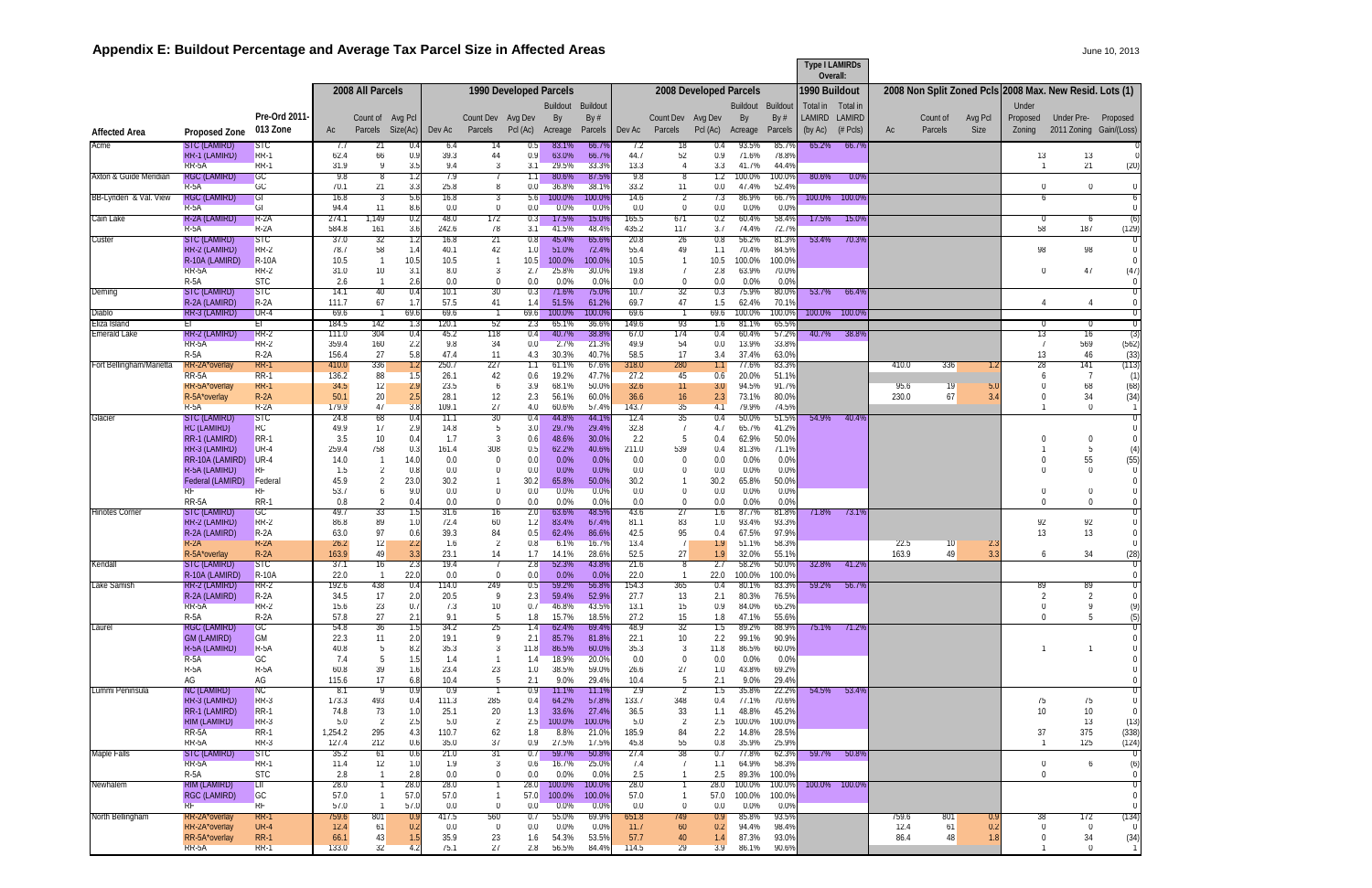# Appendix E: Buildout Percentage and Average Tax Parcel Size in Affected Areas **Acceleration 2013** June 10, 2013

|                               |                                             |                           |                  |                                  |              |                  |                              |                        |                   |                  |                  |                                  |                         |                       |                   | <b>Type I LAMIRDs</b><br>Overall: |                     |               |                     |                        |                                                         |                                              |                                      |
|-------------------------------|---------------------------------------------|---------------------------|------------------|----------------------------------|--------------|------------------|------------------------------|------------------------|-------------------|------------------|------------------|----------------------------------|-------------------------|-----------------------|-------------------|-----------------------------------|---------------------|---------------|---------------------|------------------------|---------------------------------------------------------|----------------------------------------------|--------------------------------------|
|                               |                                             |                           |                  | 2008 All Parcels                 |              |                  |                              | 1990 Developed Parcels |                   |                  |                  |                                  | 2008 Developed Parcels  |                       |                   | 1990 Buildout                     |                     |               |                     |                        | 2008 Non Split Zoned PcIs 2008 Max. New Resid. Lots (1) |                                              |                                      |
|                               |                                             |                           |                  |                                  |              |                  |                              |                        | Buildout          | Buildout         |                  |                                  |                         | Buildout Buildout     |                   | Total in                          | Total in            |               |                     |                        | Under                                                   |                                              |                                      |
| <b>Affected Area</b>          | Proposed Zone                               | Pre-Ord 2011-<br>013 Zone | Ac               | Count of Avg Pcl<br>Parcels      | Size(Ac)     | Dev Ac           | Count Dev Avg Dev<br>Parcels | PcI (Ac)               | By<br>Acreage     | By #<br>Parcels  | Dev Ac           | Count Dev Avg Dev<br>Parcels     | PcI (Ac)                | By<br>Acreage         | By $#$<br>Parcels | LAMIRD<br>(by Ac)                 | LAMIRD<br>$(*Pcls)$ | Ac            | Count of<br>Parcels | Avg Pcl<br><b>Size</b> | Proposed<br>Zoning                                      | <b>Under Pre-</b><br>2011 Zoning Gain/(Loss) | Proposed                             |
| Acme                          | STC (LAMIRD)                                | <b>STC</b>                | -7.7             | 21                               | 0.4          | -6.4             |                              | 0.5                    | 83.1%             | 66.7%            | 7.2              | 18                               | 0.4                     | 93.5%                 | 85.7%             | 65.2%                             | 66.7%               |               |                     |                        |                                                         |                                              |                                      |
|                               | RR-1 (LAMIRD)<br>RR-5A                      | RR-1<br>$R$ RR-1          | 62.4<br>31.9     | 66<br>-9                         | 0.9<br>3.5   | 39.3<br>9.4      | 44<br>3                      | 0.9<br>3.1             | 63.0%<br>29.5%    | 66.7%<br>33.3%   | 44.7<br>13.3     | 52<br>$\overline{4}$             | 0.9<br>3.3              | 71.6%<br>41.7%        | 78.8%<br>44.4%    |                                   |                     |               |                     |                        | 13                                                      | 13<br>21                                     | (20)                                 |
| Axton & Guide Meridian        | <b>RGC (LAMIRD)</b>                         | <b>GC</b>                 | 9.8              | . გ                              | 1.2          | 7.9              |                              | 1.1                    | 80.6%             | 87.5%            | -9.8             | -8                               | 1.2                     | 100.0%                | 100.09            | $80.6\%$                          | $0.0\%$             |               |                     |                        |                                                         |                                              |                                      |
| BB-Lynden & Val. View         | $R-5A$<br><b>RGC (LAMIRD)</b>               | GC<br>GI                  | 70.1<br>16.8     | 21<br>-3                         | 3.3<br>5.6   | 25.8<br>16.8     | 8<br>3                       | 0.0<br>5.6             | 36.8%<br>100.0%   | 38.1%<br>100.0%  | 33.2<br>14.6     | 11<br>$\overline{2}$             | $0.0\,$<br>7.3          | 47.4%<br>86.9%        | 52.4%<br>66.7%    | 100.0%                            | 100.09              |               |                     |                        | $\mathbf 0$<br>6                                        | $\Omega$                                     | $\Omega$<br>$6\overline{6}$          |
| Cain Lake                     | $R-5A$<br>R-2A (LAMIRD)                     | GI.<br>$R - 2A$           | 94.4<br>274.1    | 11<br>1,149                      | 8.6<br>0.2   | 0.0<br>-48.0     | $\mathbf 0$<br>172           | 0.0<br>0.3             | 0.0%<br>17.5%     | 0.0%<br>15.0%    | $0.0\,$<br>165.5 | $\mathbf 0$<br>671               | 0.0<br>0.2              | 0.0%<br>60.4%         | 0.0%<br>58.4%     | 17.5%                             | 15.0%               |               |                     |                        |                                                         | -6                                           | (6)                                  |
|                               | $R-5A$                                      | R-2A                      | 584.8            | 161                              | 3.6          | 242.6            | 78                           | 3.1                    | 41.5%             | 48.4%            | 435.2            | 117                              | 3.7                     | 74.4%                 | 72.7%             |                                   |                     |               |                     |                        | 58                                                      | 187                                          | (129)                                |
| Custer                        | STC (LAMIRD)<br>RR-2 (LAMIRD)               | SIC<br>RR-2               | 37.0<br>78.7     | -32<br>58                        | 1.2<br>1.4   | 16.8<br>40.1     | -21<br>42                    | 0.8<br>1.0             | 45.4%<br>51.0%    | 65.6%<br>72.4%   | 20.8<br>55.4     | -26<br>49                        | 0.8<br>1.1              | 56.2%<br>70.4%        | 81.3%<br>84.5%    | 53.4%                             | 70.3%               |               |                     |                        | 98                                                      | 98                                           | $\overline{0}$<br>$\mathbf 0$        |
|                               | R-10A (LAMIRD)<br>RR-5A                     | <b>R-10A</b><br>RR-2      | 10.5<br>31.0     | 10                               | 10.5<br>3.1  | 10.5<br>8.0      | $\overline{1}$<br>-3         | 10.5<br>2.7            | 100.0%<br>25.8%   | 100.0%<br>30.0%  | 10.5<br>19.8     | $\overline{1}$<br>$\overline{1}$ | 10.5<br>2.8             | 100.0%<br>63.9%       | 100.0%<br>70.0%   |                                   |                     |               |                     |                        | $\left($                                                | 47                                           | $\left( \right)$<br>(47)             |
|                               | $R-5A$                                      | <b>SIC</b>                | 2.6              |                                  | 2.6          | 0.0              | $\overline{0}$               | 0.0                    | $0.0\%$           | 0.0%             | 0.0              | $\overline{0}$                   | 0.0                     | 0.0%                  | 0.0%              |                                   |                     |               |                     |                        |                                                         |                                              | $\mathbf{0}$                         |
| Deming                        | STC (LAMIRD)<br><b>R-2A (LAMIRD)</b>        | SIC<br>$R-2A$             | -14.T<br>111.7   | 40<br>67                         | 0.4<br>1.7   | 10.1<br>57.5     | 30<br>41                     | 0.3<br>1.4             | $71.6\%$<br>51.5% | 15.0%<br>61.29   | 10.7<br>69.7     | -32<br>47                        | 0.3<br>1.5              | 75.9%<br>62.4%        | 80.09<br>70.1%    | 53.7%                             | 66.4%               |               |                     |                        |                                                         |                                              | ण                                    |
| <b>Diablo</b><br>Eliza Island | RR-3 (LAMIRD)<br>EI.                        | $UR-4$<br>EГ              | 69.6<br>184.5    | 142                              | 69.6<br>1.3  | 69.6<br>120.1    | -52                          | 69.6<br>2.3            | 100.0%<br>65.1%   | 100.0%<br>36.69  | 69.6<br>149.6    | -93                              | 69.6<br>1.6             | 100.0%<br>81.1%       | 100.0%<br>65.5%   | 100.0%                            | 100.09              |               |                     |                        |                                                         | -0                                           | $\overline{0}$<br>$\overline{0}$     |
| <b>Emerald Lake</b>           | RR-2 (LAMIRD)                               | RR-2                      | 111.0            | 304                              | 0.4          | 45.2             | 118                          | 0.4                    | 40.7%             | 38.8%            | 67.0             | 174                              | 0.4                     | 60.4%                 | 57.2%             | 40.7%                             | 38.89               |               |                     |                        | -13                                                     | 16                                           | (3)                                  |
|                               | RR-5A<br>$R-5A$                             | RR-2<br>$R-2A$            | 359.4<br>156.4   | 160<br>-27                       | 2.2<br>5.8   | 9.8<br>47.4      | 34<br>11                     | 0.0<br>4.3             | 2.7%<br>30.3%     | 21.3%<br>40.7%   | 49.9<br>58.5     | 54<br>17                         | 0.0<br>3.4              | 13.9%<br>37.4%        | 33.8%<br>63.0%    |                                   |                     |               |                     |                        | 13                                                      | 569<br>46                                    | (562)<br>(33)                        |
| Fort Bellingham/Marietta      | RR-2A <sup>*</sup> overlay<br>$RR-5A$       | RR-1<br>$RR-1$            | 410.0<br>136.2   | 336<br>88                        | 1.2<br>1.5   | 250.7<br>26.1    | 227<br>42                    | 1.1<br>0.6             | 61.1%<br>19.2%    | 67.6%<br>47.7%   | 318.0<br>27.2    | 280<br>45                        | 0.6                     | 77.6%<br>20.0%        | 83.3%<br>51.1%    |                                   |                     | 410.0         | 336                 | 1.2                    | 28                                                      | 141                                          | (113)<br>(1)                         |
|                               | RR-5A*overlay                               | RR-1                      | 34.5             | -12                              | 2.9          | 23.5             | 6                            | 3.9                    | 68.1%             | 50.0%            | 32.6             | 11                               | 3.0                     | 94.5%                 | 91.7%             |                                   |                     | 95.6          | 19                  | 5.0                    |                                                         | 68                                           | (68)                                 |
|                               | R-5A*overlay<br>$R-5A$                      | $R - 2A$<br>$R - 2A$      | 50.1<br>179.9    | 20<br>47                         | 2.5<br>3.8   | 28.1<br>109.1    | 12<br>27                     | 2.3<br>4.0             | 56.1%<br>60.6%    | 60.0%<br>57.4%   | 36.6<br>143.7    | 16<br>35                         | 2.3<br>4.1              | 73.1%<br>79.9%        | 80.0%<br>74.5%    |                                   |                     | 230.0         | 67                  | 3.4                    |                                                         | 34<br>$\overline{0}$                         | (34)<br>$\overline{1}$               |
| Glacier                       | STC (LAMIRD)<br><b>RC (LAMIRD)</b>          | SIC<br>RC                 | 24.8<br>49.9     | -68<br>17                        | 0.4<br>2.9   | 11.1<br>14.8     | 30<br>5                      | 0.4<br>3.0             | 44.8%<br>29.7%    | 44.1%<br>29.4%   | 12.4<br>32.8     | 35<br>$\overline{7}$             | 0.4<br>4.7              | 50.0%<br>65.7%        | 51.5%<br>41.2%    | 54.9%                             | 40.4%               |               |                     |                        |                                                         |                                              | $\overline{0}$<br>$\overline{0}$     |
|                               | RR-1 (LAMIRD)                               | RR-1                      | 3.5              | 10                               | 0.4          | 1.7              | -3                           | 0.6                    | 48.6%             | 30.0%            | 2.2              | -5                               | 0.4                     | 62.9%                 | 50.0%             |                                   |                     |               |                     |                        | $\Omega$                                                | $\overline{0}$                               | $\Omega$                             |
|                               | RR-3 (LAMIRD)<br>RR-10A (LAMIRD)            | UR-4<br>$UR-4$            | 259.4<br>14.0    | 758                              | 0.3<br>14.0  | 161.4<br>0.0     | 308<br>- 0                   | 0.5<br>0.0             | 62.2%<br>0.0%     | 40.6%<br>0.0%    | 211.0<br>$0.0\,$ | 539<br>- 0                       | 0.4<br>$0.0\,$          | 81.3%<br>0.0%         | 71.1%<br>0.0%     |                                   |                     |               |                     |                        |                                                         | 5<br>55                                      | (4)<br>(55)                          |
|                               | R-5A (LAMIRD)<br>Federal (LAMIRD)           | <b>RF</b><br>Federal      | 1.5<br>45.9      | $\overline{2}$<br>$\overline{2}$ | 0.8<br>23.0  | 0.0<br>30.2      | $\mathbf 0$                  | 0.0<br>30.2            | 0.0%<br>65.8%     | 0.0%<br>50.0%    | 0.0<br>30.2      | $\mathbf 0$<br>$\overline{1}$    | $0.0\,$<br>30.2         | 0.0%<br>65.8%         | 0.0%<br>50.0%     |                                   |                     |               |                     |                        |                                                         | $\Omega$                                     | $\overline{0}$<br>$\mathbf 0$        |
|                               | RF                                          | <b>RF</b>                 | 53.7             | 6                                | 9.0          | 0.0              | $\Omega$                     | 0.0                    | 0.0%              | 0.0%             | $0.0\,$          | $\mathbf 0$                      | 0.0                     | 0.0%                  | 0.0%              |                                   |                     |               |                     |                        | 0                                                       | $\mathbf 0$                                  | $\mathbf{0}$                         |
| <b>Hinotes Corner</b>         | RR-5A<br>STC (LAMIRD)                       | <b>RR-1</b><br><b>GC</b>  | 0.8<br>49.7      | 2<br>33                          | 0.4<br>1.5   | 0.0<br>31.6      | $\mathbf 0$<br>16            | 0.0<br>2.0             | 0.0%<br>63.6%     | 0.0%<br>48.5%    | $0.0\,$<br>43.6  | $\mathbf 0$<br>27                | 0.0<br>1.6              | 0.0%<br>87.7%         | 0.0%<br>81.8%     | 71.8%                             | 73.1%               |               |                     |                        | $\Omega$                                                | $\overline{0}$                               | $\mathbf 0$<br>$\overline{0}$        |
|                               | RR-2 (LAMIRD)<br>R-2A (LAMIRD)              | RR-2<br>$R - 2A$          | 86.8<br>63.0     | 89<br>97                         | 1.0<br>0.6   | 72.4<br>39.3     | 60<br>84                     | 1.2<br>0.5             | 83.4%<br>62.4%    | 67.4%<br>86.6%   | 81.1<br>42.5     | 83<br>95                         | 1.0<br>0.4              | 93.4%<br>67.5%        | 93.3%<br>97.9%    |                                   |                     |               |                     |                        | 92<br>13                                                | 92<br>13                                     | $\overline{0}$<br>$\Omega$           |
|                               | $R-2A$                                      | $R-2A$                    | 26.2             | 12                               | 2.2          | 1.6              | $\overline{2}$               | 0.8                    | 6.1%              | 16.7%            | 13.4             | 7                                | 1.9                     | 51.1%                 | 58.3%             |                                   |                     | 22.5          | 10                  | 2.3                    |                                                         |                                              | $\mathbf 0$                          |
| Kendall                       | R-5A*overlay<br>SIC (LAMIRD)                | $R-2A$<br>SIC             | 163.9<br>37.1    | 49<br>16                         | 3.3<br>2.3   | 23.1<br>19.4     | 14                           | 1.7<br>2.8             | 14.1%<br>52.3%    | 28.6%<br>43.8%   | 52.5<br>21.6     | 27<br>്                          | 1.9<br>2.1              | 32.0%<br>58.2%        | 55.1%<br>$50.0\%$ | 32.8%                             | 41.2%               | 163.9         | 49                  | 3.3                    | 6                                                       | 34                                           | (28)                                 |
| Lake Samish                   | R-10A (LAMIRD)<br>RR-2 (LAMIRD)             | <b>R-10A</b><br>RR-2      | 22.0<br>192.6    | 438                              | 22.0<br>0.4  | 0.0<br>114.0     | $\Omega$<br>249              | 0.0<br>0.5             | 0.0%<br>59.2%     | 0.0%<br>56.8%    | 22.0<br>154.3    | 365                              | 22.0<br>0.4             | 100.0%<br>80.1%       | 100.0%<br>83.3%   | $59.2\%$                          | 56.7%               |               |                     |                        | 89                                                      | 89                                           | $\Omega$                             |
|                               | R-2A (LAMIRD)                               | $R-2A$                    | 34.5             | 17                               | 2.0          | 20.5             | - 9                          | 2.3                    | 59.4%             | 52.9%            | 27.7             | 13                               | 2.1                     | 80.3%                 | 76.5%             |                                   |                     |               |                     |                        | -2                                                      | $\overline{2}$                               | $\Omega$                             |
|                               | RR-5A<br>$R-5A$                             | $RR-2$<br>$R-2A$          | 15.6<br>57.8     | 23<br>27                         | 0.7<br>2.1   | 7.3<br>9.1       | 10<br>-5                     | 0.7<br>1.8             | 46.8%<br>15.7%    | 43.5%<br>18.5%   | 13.1<br>27.2     | 15<br>15                         | 0.9<br>1.8              | 84.0%<br>47.1%        | 65.2%<br>55.6%    |                                   |                     |               |                     |                        | $\Omega$                                                | q                                            | (9)<br>(5)                           |
| Laurel                        | RGC (LAMIRD)<br><b>GM (LAMIRD)</b>          | <b>GC</b><br>GM           | 54.8<br>22.3     | 36<br>11                         | 1.5<br>2.0   | 34.2<br>19.1     | 25<br>- 9                    | 1.4<br>2.1             | 62.4%<br>85.7%    | 69.4%<br>81.8%   | 48.9<br>22.1     | 32<br>10 <sup>°</sup>            | 1.5<br>$2.2\degree$     | 89.2%<br>99.1%        | 88.9%<br>90.9%    | 75.1%                             | 71.2%               |               |                     |                        |                                                         |                                              |                                      |
|                               | R-5A (LAMIRD)                               | $R-5A$                    | 40.8             |                                  | 8.2          | 35.3             | -3                           | 11.8                   | 86.5%             | 60.0%            | 35.3             | -3                               | 11.8                    | 86.5%                 | 60.0%             |                                   |                     |               |                     |                        |                                                         |                                              |                                      |
|                               | $R-5A$<br>$R-5A$                            | G <sub>C</sub><br>$R-5A$  | 7.4<br>60.8      | 5<br>39                          | 1.5<br>1.6   | 1.4<br>23.4      | 23                           | 1.4<br>1.0             | 18.9%<br>38.5%    | 20.0%<br>59.0%   | 0.0<br>26.6      | 0<br>27                          | 0.0<br>1.0              | $0.0\%$<br>43.8%      | $0.0\%$<br>69.2%  |                                   |                     |               |                     |                        |                                                         |                                              |                                      |
| Lummi Peninsula               | AG<br>NC (LAMIRD)                           | AG<br>NC                  | 115.6<br>-8.1    | 17                               | 6.8<br>0.9   | 10.4<br>-0.9     | 5                            | 2.1<br>0.9             | $9.0\%$<br>11.1%  | 29.4%<br>11.1%   | 10.4<br>-2.9     | 5<br>$\overline{2}$              | 2.1<br>1.5              | $9.0\%$<br>35.8%      | 29.4%<br>22.2%    | $54.5\%$                          | 53.4%               |               |                     |                        |                                                         |                                              | $\overline{0}$                       |
|                               | RR-3 (LAMIRD)                               | $RR-3$                    | 173.3            | 493                              | 0.4          | 111.3            | 285                          | 0.4                    | 64.2%             | 57.8%            | 133.7            | 348                              | 0.4                     | 77.1%                 | 70.6%             |                                   |                     |               |                     |                        | 75                                                      | 75                                           | $\left( \right)$<br>$\left( \right)$ |
|                               | <b>RR-1 (LAMIRD)</b><br><b>RIM (LAMIRD)</b> | $RR-1$<br>$RR-3$          | 74.8<br>5.0      | 73<br>-2                         | 1.0<br>2.5   | 25.1<br>5.0      | 20<br>-2                     | 1.3<br>2.5             | 33.6%<br>100.0%   | 27.4%<br>100.0%  | 36.5<br>5.0      | 33<br>$\overline{2}$             | 1.1<br>2.5              | 48.8%<br>100.0%       | 45.2%<br>100.0%   |                                   |                     |               |                     |                        | 10                                                      | 10<br>13                                     | (13)                                 |
|                               | $RR-5A$<br>RR-5A                            | RR-1<br>$RR-3$            | 1,254.2<br>127.4 | 295<br>212                       | 4.3<br>0.6   | 110.7<br>35.0    | 62<br>37                     | 1.8<br>0.9             | 8.8%<br>27.5%     | 21.0%<br>17.5%   | 185.9<br>45.8    | 84<br>55                         | $2.2^{\circ}$<br>0.8    | 14.8%<br>35.9%        | 28.5%<br>25.9%    |                                   |                     |               |                     |                        | 37                                                      | 375<br>125                                   | (338)<br>(124)                       |
| Maple Falls                   | STC (LAMIRD)                                | SIC                       | 35.2             | -61                              | 0.6          | 21.0             | 31                           | 0.7                    | 59.7%             | 50.8%            | 27.4             | 38                               | 0.7                     | 77.8%                 | 62.3%             | 59.7%                             | $-50.8%$            |               |                     |                        |                                                         |                                              | $\overline{0}$                       |
|                               | RR-5A<br>$R-5A$                             | RR-1<br><b>SIC</b>        | 11.4<br>2.8      | 12                               | 1.0<br>2.8   | 1.9<br>0.0       | 3<br>$\left( \right)$        | 0.6<br>0.0             | 16.7%<br>$0.0\%$  | 25.0%<br>0.0%    | 7.4<br>2.5       | - 7                              | 1.1<br>2.5              | 64.9%<br>89.3%        | 58.3%<br>100.0%   |                                   |                     |               |                     |                        | $\theta$<br>$\left( \right)$                            | 6                                            | (6)<br>$\mathbf{0}$                  |
| Newhalem                      | <b>RIM (LAMIRD)</b><br><b>RGC (LAMIRD)</b>  | ŢШ<br>GC                  | 28.0<br>57.0     |                                  | 28.0<br>57.0 | 28.0<br>57.0     |                              | 28.0<br>57.0           | 100.0%<br>100.0%  | 100.0%<br>100.0% | 28.0<br>57.0     |                                  | 28.0                    | 100.0%<br>57.0 100.0% | 100.0%<br>100.0%  | 100.0% 100.0%                     |                     |               |                     |                        |                                                         |                                              | $\overline{0}$<br>$\mathbf 0$        |
|                               | RF                                          | RF                        | 57.0             |                                  | 57.0         | $0.0\,$          | $\theta$                     | 0.0                    | 0.0%              | 0.0%             | $0.0\,$          | $\mathbf 0$                      | $0.0\,$                 | $0.0\%$               | $0.0\%$           |                                   |                     |               |                     |                        |                                                         |                                              | $\mathbf 0$                          |
| North Bellingham              | RR-2A*overlay<br>RR-2A*overlay              | RR-1<br>$UR-4$            | 759.6<br>12.4    | -801<br>61                       | 0.9<br>0.2   | 417.5<br>$0.0\,$ | 560<br>$\mathbf 0$           | 0.7<br>0.0             | 55.0%<br>$0.0\%$  | 69.9%<br>0.0%    | 651.8<br>11.7    | 749<br>60                        | 0.9 <sub>2</sub><br>0.2 | 85.8%<br>94.4%        | 93.5%<br>98.4%    |                                   |                     | 759.6<br>12.4 | 801<br>61           | 0.9<br>0.2             | -38<br>$\Omega$                                         | 172<br>$\overline{0}$                        | (134)<br>$\Omega$                    |
|                               | RR-5A*overlay<br>RR-5A                      | <b>RR-1</b><br>RR-1       | 66.1<br>133.0    | 43<br>32                         | 1.5<br>4.2   | 35.9<br>75.1     | 23<br>27                     | 1.6<br>2.8             | 54.3%<br>56.5%    | 53.5%<br>84.4%   | 57.7<br>114.5    | 40<br>29                         | 1.4<br>3.9              | 87.3%<br>86.1%        | 93.0%<br>90.6%    |                                   |                     | 86.4          | 48                  | 1.8                    |                                                         | 34<br>$\overline{0}$                         | (34)<br>$\sqrt{1}$                   |
|                               |                                             |                           |                  |                                  |              |                  |                              |                        |                   |                  |                  |                                  |                         |                       |                   |                                   |                     |               |                     |                        |                                                         |                                              |                                      |